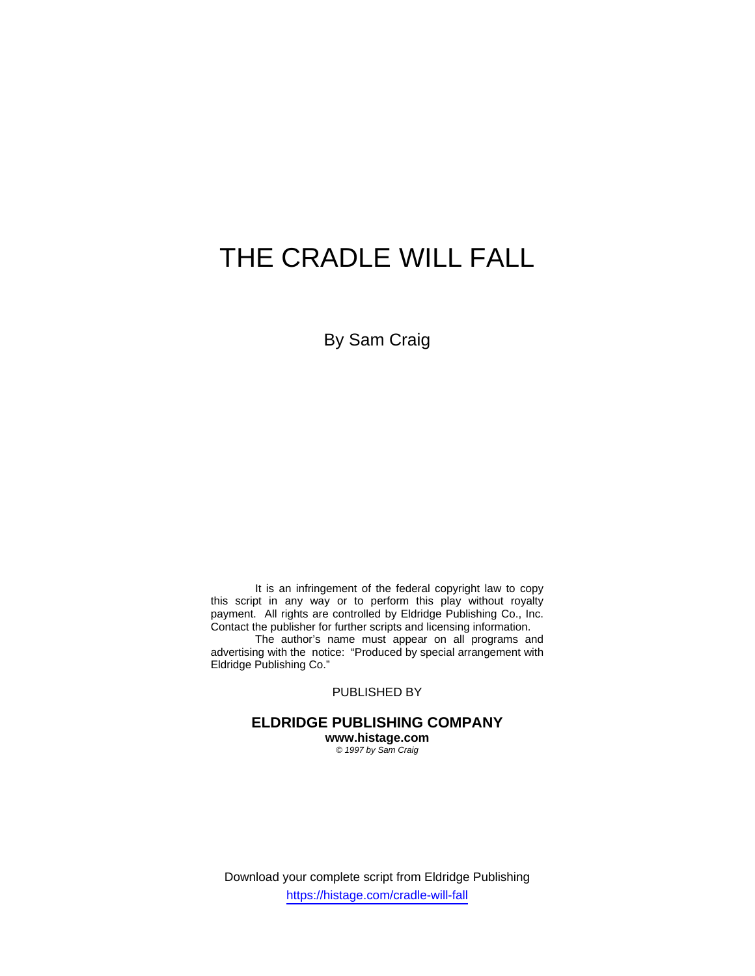# THE CRADLE WILL FALL

By Sam Craig

 It is an infringement of the federal copyright law to copy this script in any way or to perform this play without royalty payment. All rights are controlled by Eldridge Publishing Co., Inc. Contact the publisher for further scripts and licensing information.

 The author's name must appear on all programs and advertising with the notice: "Produced by special arrangement with Eldridge Publishing Co."

PUBLISHED BY

**ELDRIDGE PUBLISHING COMPANY www.histage.com** 

*© 1997 by Sam Craig* 

Download your complete script from Eldridge Publishing https://histage.com/cradle-will-fall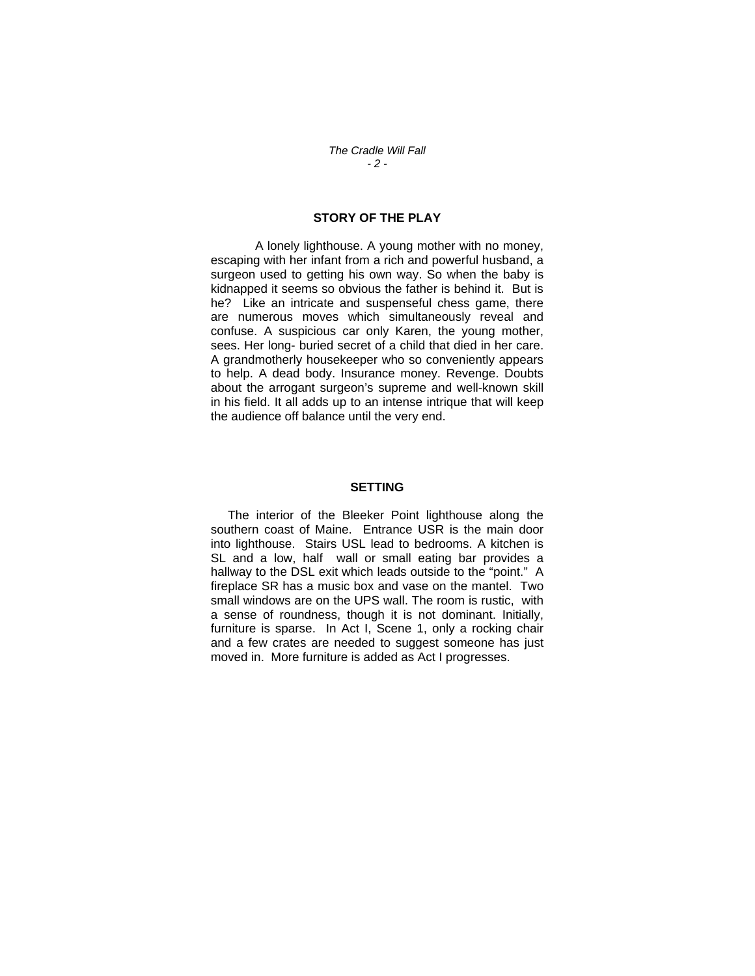## **STORY OF THE PLAY**

 A lonely lighthouse. A young mother with no money, escaping with her infant from a rich and powerful husband, a surgeon used to getting his own way. So when the baby is kidnapped it seems so obvious the father is behind it. But is he? Like an intricate and suspenseful chess game, there are numerous moves which simultaneously reveal and confuse. A suspicious car only Karen, the young mother, sees. Her long- buried secret of a child that died in her care. A grandmotherly housekeeper who so conveniently appears to help. A dead body. Insurance money. Revenge. Doubts about the arrogant surgeon's supreme and well-known skill in his field. It all adds up to an intense intrique that will keep the audience off balance until the very end.

#### **SETTING**

 The interior of the Bleeker Point lighthouse along the southern coast of Maine. Entrance USR is the main door into lighthouse. Stairs USL lead to bedrooms. A kitchen is SL and a low, half wall or small eating bar provides a hallway to the DSL exit which leads outside to the "point." A fireplace SR has a music box and vase on the mantel. Two small windows are on the UPS wall. The room is rustic, with a sense of roundness, though it is not dominant. Initially, furniture is sparse. In Act I, Scene 1, only a rocking chair and a few crates are needed to suggest someone has just moved in. More furniture is added as Act I progresses.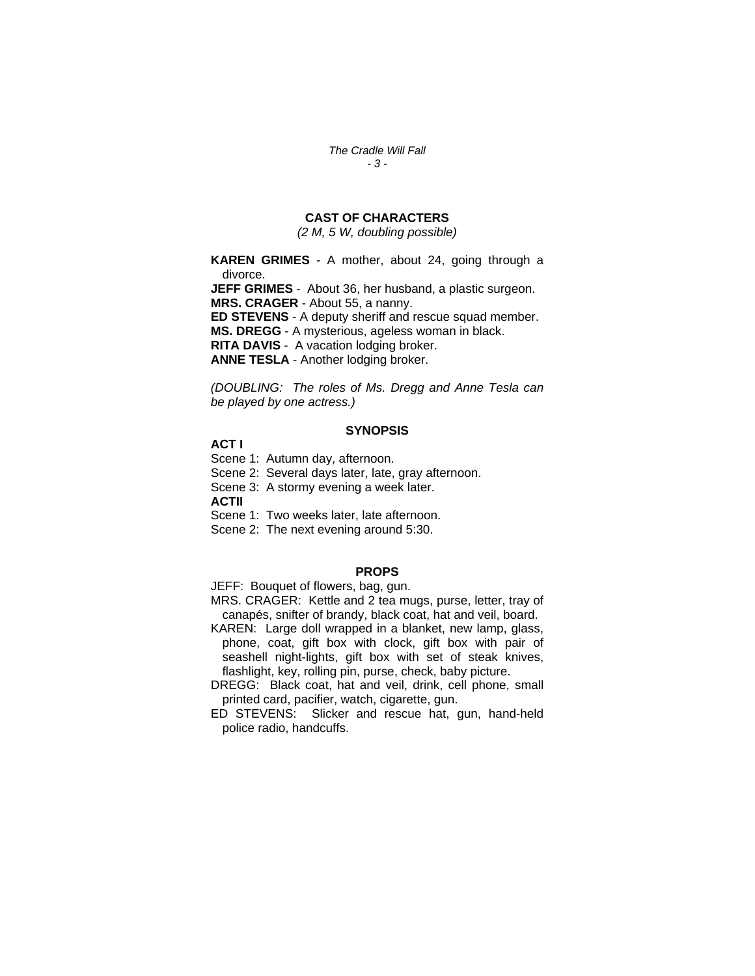*The Cradle Will Fall - 3 -* 

# **CAST OF CHARACTERS**

*(2 M, 5 W, doubling possible)* 

**KAREN GRIMES** - A mother, about 24, going through a divorce.

**JEFF GRIMES** - About 36, her husband, a plastic surgeon. **MRS. CRAGER** - About 55, a nanny.

**ED STEVENS** - A deputy sheriff and rescue squad member.

**MS. DREGG** - A mysterious, ageless woman in black.

**RITA DAVIS** -A vacation lodging broker.

**ANNE TESLA** - Another lodging broker.

*(DOUBLING: The roles of Ms. Dregg and Anne Tesla can be played by one actress.)* 

#### **SYNOPSIS**

**ACT I** 

Scene 1: Autumn day, afternoon.

Scene 2: Several days later, late, gray afternoon.

Scene 3: A stormy evening a week later.

**ACTII** 

Scene 1: Two weeks later, late afternoon.

Scene 2: The next evening around 5:30.

#### **PROPS**

JEFF: Bouquet of flowers, bag, gun.

MRS. CRAGER: Kettle and 2 tea mugs, purse, letter, tray of canapés, snifter of brandy, black coat, hat and veil, board.

KAREN: Large doll wrapped in a blanket, new lamp, glass, phone, coat, gift box with clock, gift box with pair of seashell night-lights, gift box with set of steak knives, flashlight, key, rolling pin, purse, check, baby picture.

DREGG: Black coat, hat and veil, drink, cell phone, small printed card, pacifier, watch, cigarette, gun.

ED STEVENS: Slicker and rescue hat, gun, hand-held police radio, handcuffs.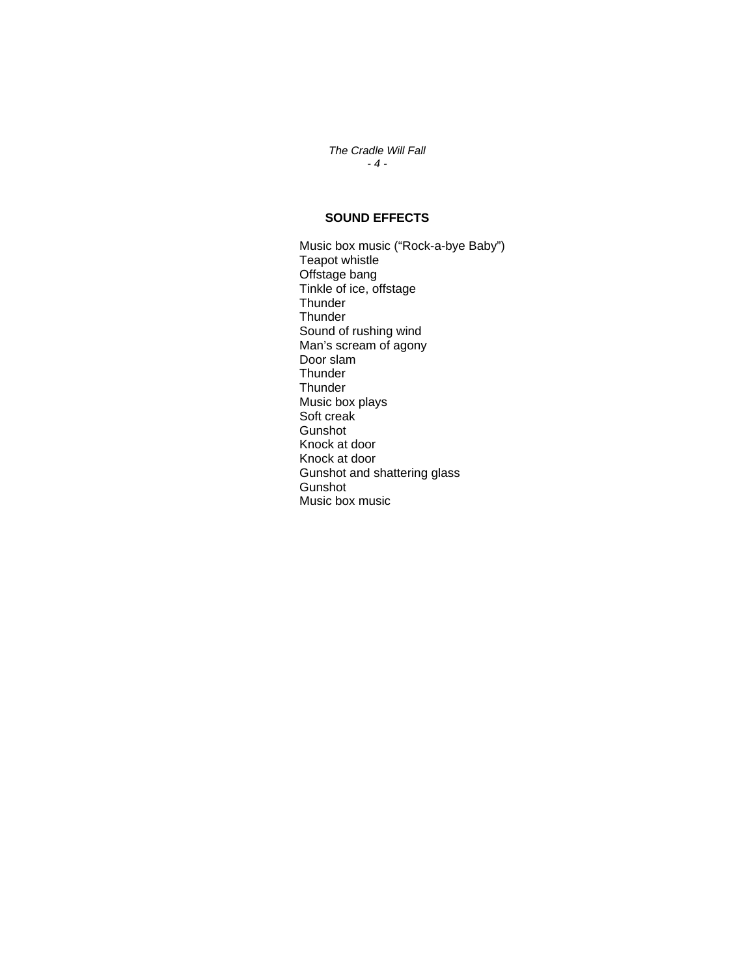*The Cradle Will Fall - 4 -* 

# **SOUND EFFECTS**

Music box music ("Rock-a-bye Baby") Teapot whistle Offstage bang Tinkle of ice, offstage **Thunder Thunder**  Sound of rushing wind Man's scream of agony Door slam **Thunder Thunder**  Music box plays Soft creak Gunshot Knock at door Knock at door Gunshot and shattering glass Gunshot Music box music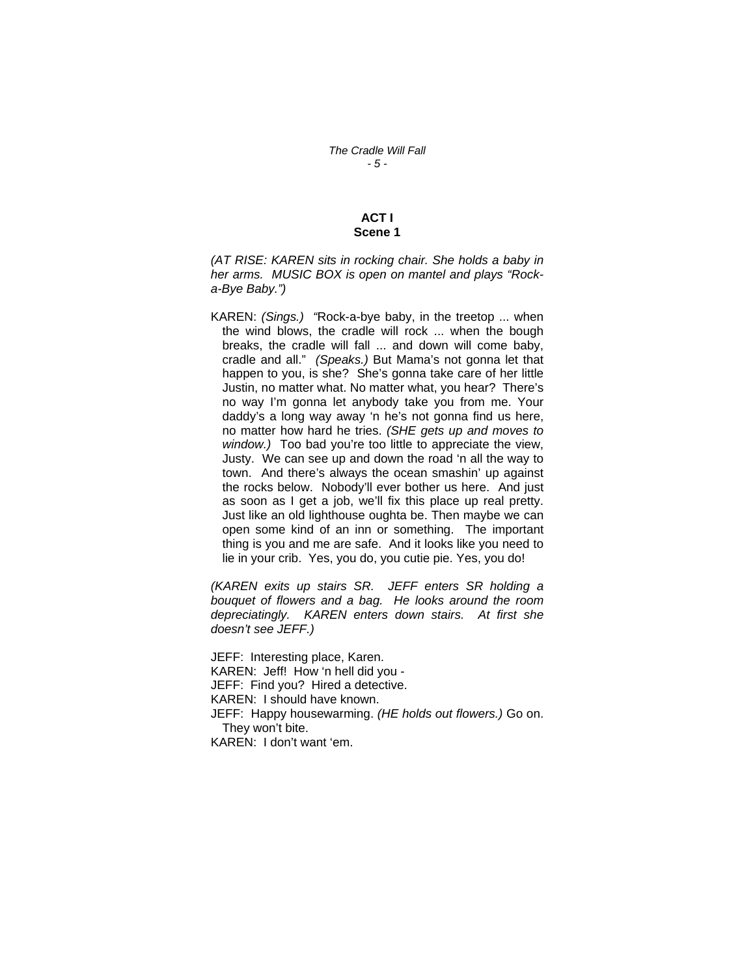## **ACT I Scene 1**

*(AT RISE: KAREN sits in rocking chair. She holds a baby in her arms. MUSIC BOX is open on mantel and plays "Rocka-Bye Baby.")* 

KAREN: *(Sings.) "*Rock-a-bye baby, in the treetop ... when the wind blows, the cradle will rock ... when the bough breaks, the cradle will fall ... and down will come baby, cradle and all." *(Speaks.)* But Mama's not gonna let that happen to you, is she? She's gonna take care of her little Justin, no matter what. No matter what, you hear? There's no way I'm gonna let anybody take you from me. Your daddy's a long way away 'n he's not gonna find us here, no matter how hard he tries. *(SHE gets up and moves to window.)* Too bad you're too little to appreciate the view, Justy. We can see up and down the road 'n all the way to town. And there's always the ocean smashin' up against the rocks below. Nobody'll ever bother us here. And just as soon as I get a job, we'll fix this place up real pretty. Just like an old lighthouse oughta be. Then maybe we can open some kind of an inn or something. The important thing is you and me are safe. And it looks like you need to lie in your crib. Yes, you do, you cutie pie. Yes, you do!

*(KAREN exits up stairs SR. JEFF enters SR holding a bouquet of flowers and a bag. He looks around the room depreciatingly. KAREN enters down stairs. At first she doesn't see JEFF.)* 

JEFF: Interesting place, Karen. KAREN: Jeff! How 'n hell did you - JEFF: Find you? Hired a detective. KAREN: I should have known. JEFF: Happy housewarming. *(HE holds out flowers.)* Go on. They won't bite. KAREN: I don't want 'em.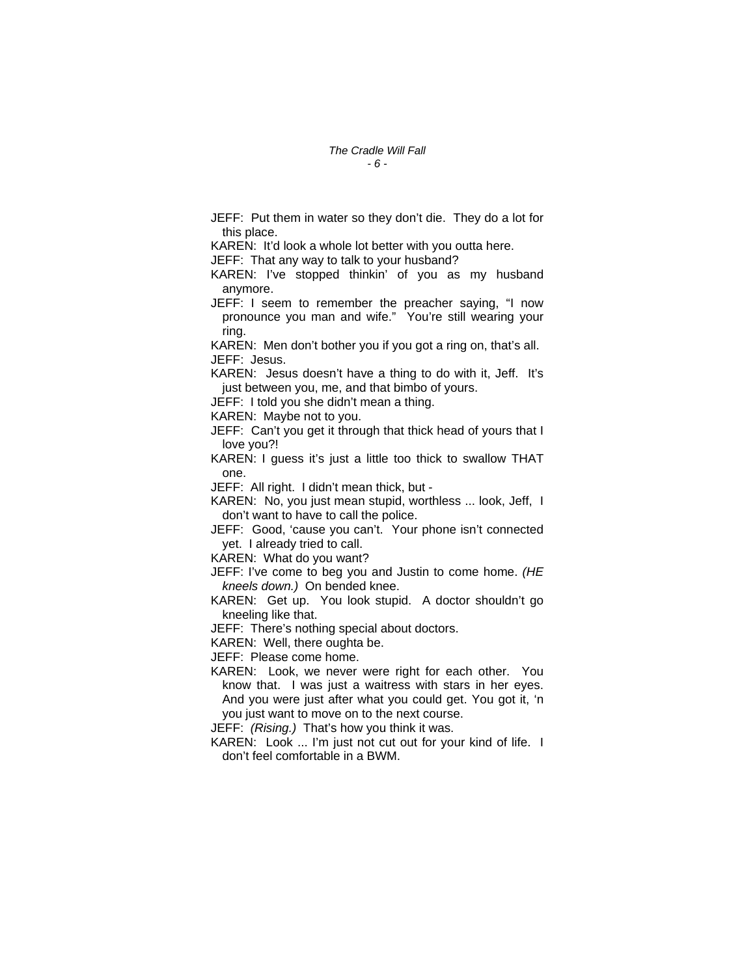JEFF: Put them in water so they don't die. They do a lot for this place.

KAREN: It'd look a whole lot better with you outta here.

JEFF: That any way to talk to your husband?

KAREN: I've stopped thinkin' of you as my husband anymore.

JEFF: I seem to remember the preacher saying, "I now pronounce you man and wife." You're still wearing your ring.

KAREN: Men don't bother you if you got a ring on, that's all. JEFF: Jesus.

KAREN: Jesus doesn't have a thing to do with it, Jeff. It's just between you, me, and that bimbo of yours.

JEFF: I told you she didn't mean a thing.

KAREN: Maybe not to you.

JEFF: Can't you get it through that thick head of yours that I love you?!

KAREN: I guess it's just a little too thick to swallow THAT one.

JEFF: All right. I didn't mean thick, but -

KAREN: No, you just mean stupid, worthless ... look, Jeff, I don't want to have to call the police.

JEFF: Good, 'cause you can't. Your phone isn't connected yet. I already tried to call.

KAREN: What do you want?

JEFF: I've come to beg you and Justin to come home. *(HE kneels down.)* On bended knee.

KAREN: Get up. You look stupid. A doctor shouldn't go kneeling like that.

JEFF: There's nothing special about doctors.

KAREN: Well, there oughta be.

JEFF: Please come home.

KAREN: Look, we never were right for each other. You know that. I was just a waitress with stars in her eyes. And you were just after what you could get. You got it, 'n you just want to move on to the next course.

JEFF: *(Rising.)* That's how you think it was.

KAREN: Look ... I'm just not cut out for your kind of life. I don't feel comfortable in a BWM.